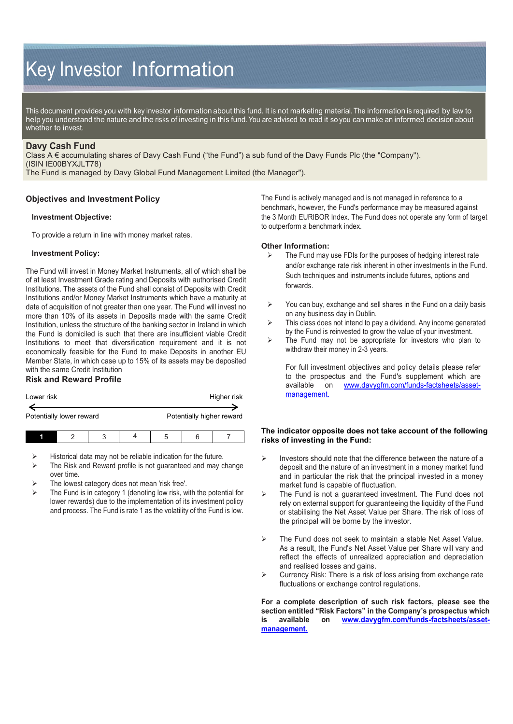# Key Investor Information

This document provides you with key investor information about this fund. It is not marketing material. The information is required by law to help you understand the nature and the risks of investing in this fund. You are advised to read it so you can make an informed decision about whether to invest.

# **Davy Cash Fund**

Class A € accumulating shares of Davy Cash Fund ("the Fund") a sub fund of the Davy Funds Plc (the "Company"). (ISIN IE00BYXJLT78)

The Fund is managed by Davy Global Fund Management Limited (the Manager").

## **Objectives and Investment Policy**

## **Investment Objective:**

To provide a return in line with money market rates.

## **Investment Policy:**

The Fund will invest in Money Market Instruments, all of which shall be of at least Investment Grade rating and Deposits with authorised Credit Institutions. The assets of the Fund shall consist of Deposits with Credit Institutions and/or Money Market Instruments which have a maturity at date of acquisition of not greater than one year. The Fund will invest no more than 10% of its assets in Deposits made with the same Credit Institution, unless the structure of the banking sector in Ireland in which the Fund is domiciled is such that there are insufficient viable Credit Institutions to meet that diversification requirement and it is not economically feasible for the Fund to make Deposits in another EU Member State, in which case up to 15% of its assets may be deposited with the same Credit Institution

# **Risk and Reward Profile**

| Lower risk               | Higher risk               |  |  |
|--------------------------|---------------------------|--|--|
|                          |                           |  |  |
| Potentially lower reward | Potentially higher reward |  |  |
|                          |                           |  |  |

- $\triangleright$  Historical data may not be reliable indication for the future.<br>  $\triangleright$  The Risk and Reward profile is not quaranteed and may of
- The Risk and Reward profile is not guaranteed and may change over time.
- The lowest category does not mean 'risk free'.
- The Fund is in category 1 (denoting low risk, with the potential for lower rewards) due to the implementation of its investment policy and process. The Fund is rate 1 as the volatility of the Fund is low.

The Fund is actively managed and is not managed in reference to a benchmark, however, the Fund's performance may be measured against the 3 Month EURIBOR Index. The Fund does not operate any form of target to outperform a benchmark index.

#### **Other Information:**

- $\triangleright$  The Fund may use FDIs for the purposes of hedging interest rate and/or exchange rate risk inherent in other investments in the Fund. Such techniques and instruments include futures, options and forwards.
- $\triangleright$  You can buy, exchange and sell shares in the Fund on a daily basis on any business day in Dublin.
- $\triangleright$  This class does not intend to pay a dividend. Any income generated by the Fund is reinvested to grow the value of your investment.
- $\triangleright$  The Fund may not be appropriate for investors who plan to withdraw their money in 2-3 years.

For full investment objectives and policy details please refer to the prospectus and the Fund's supplement which are available on [www.davygfm.com/funds-factsheets/asset](http://www.davygfm.com/funds-factsheets/asset-management)[management.](http://www.davygfm.com/funds-factsheets/asset-management)

## **The indicator opposite does not take account of the following risks of investing in the Fund:**

- $\triangleright$  Investors should note that the difference between the nature of a deposit and the nature of an investment in a money market fund and in particular the risk that the principal invested in a money market fund is capable of fluctuation.
- $\triangleright$  The Fund is not a guaranteed investment. The Fund does not rely on external support for guaranteeing the liquidity of the Fund or stabilising the Net Asset Value per Share. The risk of loss of the principal will be borne by the investor.
- > The Fund does not seek to maintain a stable Net Asset Value. As a result, the Fund's Net Asset Value per Share will vary and reflect the effects of unrealized appreciation and depreciation and realised losses and gains.
- $\triangleright$  Currency Risk: There is a risk of loss arising from exchange rate fluctuations or exchange control regulations.

**For a complete description of such risk factors, please see the section entitled "Risk Factors" in the Company's prospectus which is available on [www.davygfm.com/funds-factsheets/asset](http://www.davygfm.com/funds-factsheets/asset-management)[management.](http://www.davygfm.com/funds-factsheets/asset-management)**